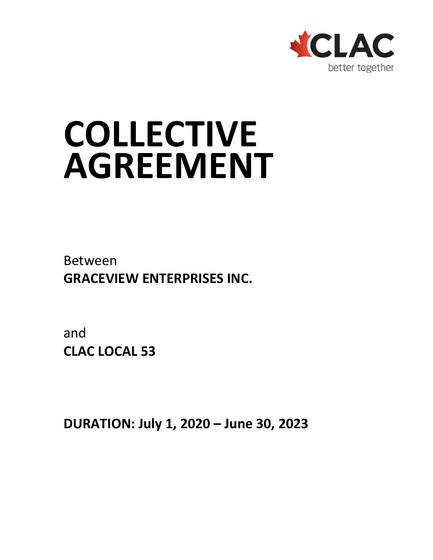

# **COLLECTIVE AGREEMENT**

Between **GRACEVIEW ENTERPRISES INC.**

and **CLAC LOCAL 53**

**DURATION: July 1, 2020 – June 30, 2023**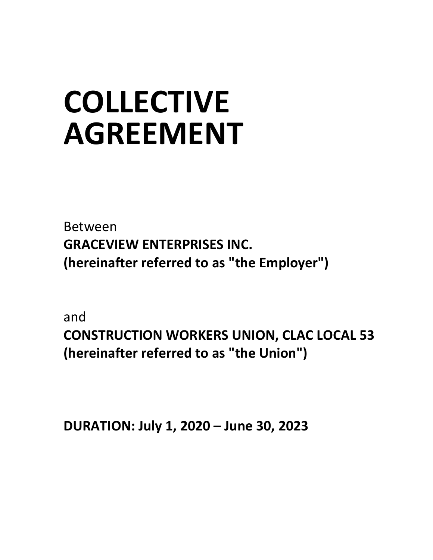# **COLLECTIVE AGREEMENT**

Between **GRACEVIEW ENTERPRISES INC. (hereinafter referred to as "the Employer")**

and

**CONSTRUCTION WORKERS UNION, CLAC LOCAL 53 (hereinafter referred to as "the Union")**

**DURATION: July 1, 2020 – June 30, 2023**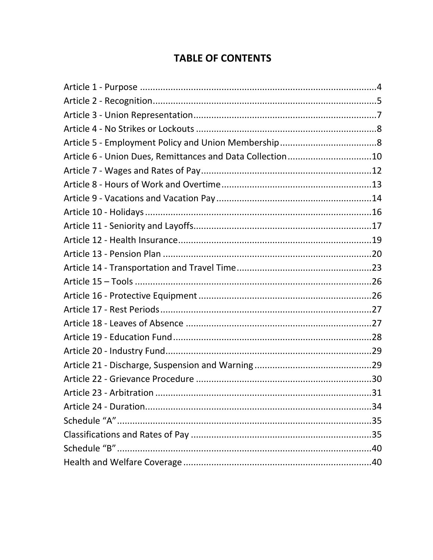# **TABLE OF CONTENTS**

| Article 6 - Union Dues, Remittances and Data Collection10 |  |
|-----------------------------------------------------------|--|
|                                                           |  |
|                                                           |  |
|                                                           |  |
|                                                           |  |
|                                                           |  |
|                                                           |  |
|                                                           |  |
|                                                           |  |
|                                                           |  |
|                                                           |  |
|                                                           |  |
|                                                           |  |
|                                                           |  |
|                                                           |  |
|                                                           |  |
|                                                           |  |
|                                                           |  |
|                                                           |  |
|                                                           |  |
|                                                           |  |
|                                                           |  |
|                                                           |  |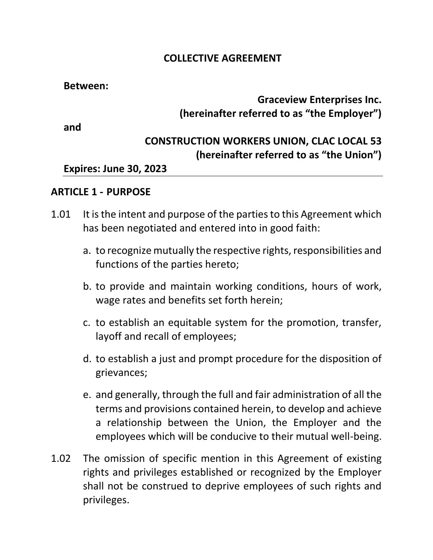#### **COLLECTIVE AGREEMENT**

#### **Between:**

# **Graceview Enterprises Inc. (hereinafter referred to as "the Employer")**

**and**

# **CONSTRUCTION WORKERS UNION, CLAC LOCAL 53 (hereinafter referred to as "the Union")**

## **Expires: June 30, 2023**

#### <span id="page-3-0"></span>**ARTICLE 1 - PURPOSE**

- 1.01 It is the intent and purpose of the parties to this Agreement which has been negotiated and entered into in good faith:
	- a. to recognize mutually the respective rights, responsibilities and functions of the parties hereto;
	- b. to provide and maintain working conditions, hours of work, wage rates and benefits set forth herein;
	- c. to establish an equitable system for the promotion, transfer, layoff and recall of employees;
	- d. to establish a just and prompt procedure for the disposition of grievances;
	- e. and generally, through the full and fair administration of all the terms and provisions contained herein, to develop and achieve a relationship between the Union, the Employer and the employees which will be conducive to their mutual well-being.
- 1.02 The omission of specific mention in this Agreement of existing rights and privileges established or recognized by the Employer shall not be construed to deprive employees of such rights and privileges.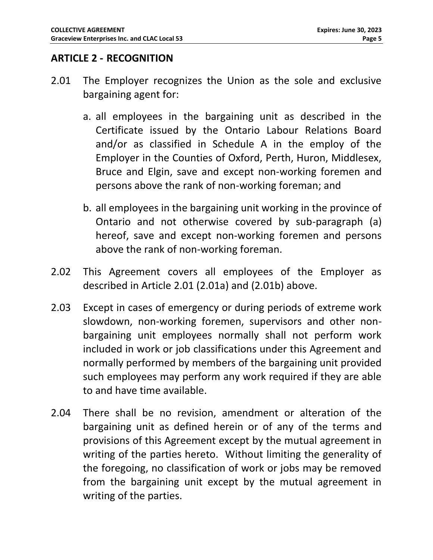#### <span id="page-4-0"></span>**ARTICLE 2 - RECOGNITION**

- <span id="page-4-2"></span><span id="page-4-1"></span>2.01 The Employer recognizes the Union as the sole and exclusive bargaining agent for:
	- a. all employees in the bargaining unit as described in the Certificate issued by the Ontario Labour Relations Board and/or as classified in Schedule A in the employ of the Employer in the Counties of Oxford, Perth, Huron, Middlesex, Bruce and Elgin, save and except non-working foremen and persons above the rank of non-working foreman; and
	- b. all employees in the bargaining unit working in the province of Ontario and not otherwise covered by sub-paragraph [\(a\)](#page-4-1) hereof, save and except non-working foremen and persons above the rank of non-working foreman.
- <span id="page-4-3"></span>2.02 This Agreement covers all employees of the Employer as described in Article [2.01](#page-4-2) [\(2.01a\)](#page-4-1) and [\(2.01b\)](#page-4-3) above.
- 2.03 Except in cases of emergency or during periods of extreme work slowdown, non-working foremen, supervisors and other nonbargaining unit employees normally shall not perform work included in work or job classifications under this Agreement and normally performed by members of the bargaining unit provided such employees may perform any work required if they are able to and have time available.
- 2.04 There shall be no revision, amendment or alteration of the bargaining unit as defined herein or of any of the terms and provisions of this Agreement except by the mutual agreement in writing of the parties hereto. Without limiting the generality of the foregoing, no classification of work or jobs may be removed from the bargaining unit except by the mutual agreement in writing of the parties.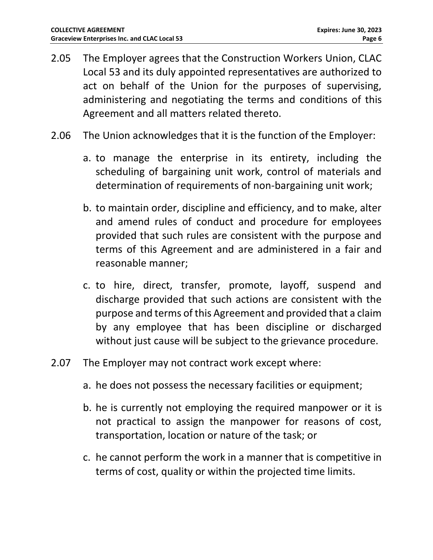- 2.05 The Employer agrees that the Construction Workers Union, CLAC Local 53 and its duly appointed representatives are authorized to act on behalf of the Union for the purposes of supervising, administering and negotiating the terms and conditions of this Agreement and all matters related thereto.
- 2.06 The Union acknowledges that it is the function of the Employer:
	- a. to manage the enterprise in its entirety, including the scheduling of bargaining unit work, control of materials and determination of requirements of non-bargaining unit work;
	- b. to maintain order, discipline and efficiency, and to make, alter and amend rules of conduct and procedure for employees provided that such rules are consistent with the purpose and terms of this Agreement and are administered in a fair and reasonable manner;
	- c. to hire, direct, transfer, promote, layoff, suspend and discharge provided that such actions are consistent with the purpose and terms of this Agreement and provided that a claim by any employee that has been discipline or discharged without just cause will be subject to the grievance procedure.
- 2.07 The Employer may not contract work except where:
	- a. he does not possess the necessary facilities or equipment;
	- b. he is currently not employing the required manpower or it is not practical to assign the manpower for reasons of cost, transportation, location or nature of the task; or
	- c. he cannot perform the work in a manner that is competitive in terms of cost, quality or within the projected time limits.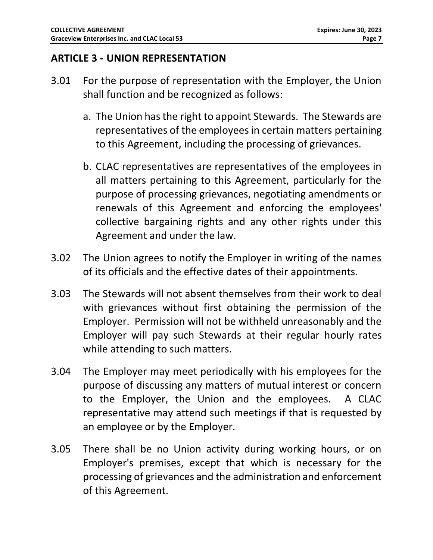#### <span id="page-6-0"></span>**ARTICLE 3 - UNION REPRESENTATION**

- 3.01 For the purpose of representation with the Employer, the Union shall function and be recognized as follows:
	- a. The Union has the right to appoint Stewards. The Stewards are representatives of the employees in certain matters pertaining to this Agreement, including the processing of grievances.
	- b. CLAC representatives are representatives of the employees in all matters pertaining to this Agreement, particularly for the purpose of processing grievances, negotiating amendments or renewals of this Agreement and enforcing the employees' collective bargaining rights and any other rights under this Agreement and under the law.
- 3.02 The Union agrees to notify the Employer in writing of the names of its officials and the effective dates of their appointments.
- 3.03 The Stewards will not absent themselves from their work to deal with grievances without first obtaining the permission of the Employer. Permission will not be withheld unreasonably and the Employer will pay such Stewards at their regular hourly rates while attending to such matters.
- 3.04 The Employer may meet periodically with his employees for the purpose of discussing any matters of mutual interest or concern to the Employer, the Union and the employees. A CLAC representative may attend such meetings if that is requested by an employee or by the Employer.
- 3.05 There shall be no Union activity during working hours, or on Employer's premises, except that which is necessary for the processing of grievances and the administration and enforcement of this Agreement.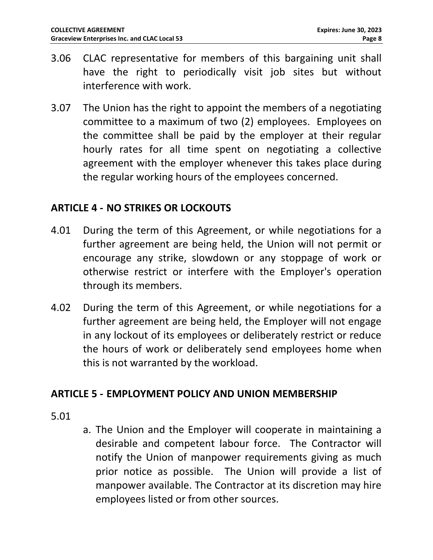- 3.06 CLAC representative for members of this bargaining unit shall have the right to periodically visit job sites but without interference with work.
- 3.07 The Union has the right to appoint the members of a negotiating committee to a maximum of two (2) employees. Employees on the committee shall be paid by the employer at their regular hourly rates for all time spent on negotiating a collective agreement with the employer whenever this takes place during the regular working hours of the employees concerned.

#### <span id="page-7-0"></span>**ARTICLE 4 - NO STRIKES OR LOCKOUTS**

- 4.01 During the term of this Agreement, or while negotiations for a further agreement are being held, the Union will not permit or encourage any strike, slowdown or any stoppage of work or otherwise restrict or interfere with the Employer's operation through its members.
- 4.02 During the term of this Agreement, or while negotiations for a further agreement are being held, the Employer will not engage in any lockout of its employees or deliberately restrict or reduce the hours of work or deliberately send employees home when this is not warranted by the workload.

#### <span id="page-7-1"></span>**ARTICLE 5 - EMPLOYMENT POLICY AND UNION MEMBERSHIP**

#### 5.01

a. The Union and the Employer will cooperate in maintaining a desirable and competent labour force. The Contractor will notify the Union of manpower requirements giving as much prior notice as possible. The Union will provide a list of manpower available. The Contractor at its discretion may hire employees listed or from other sources.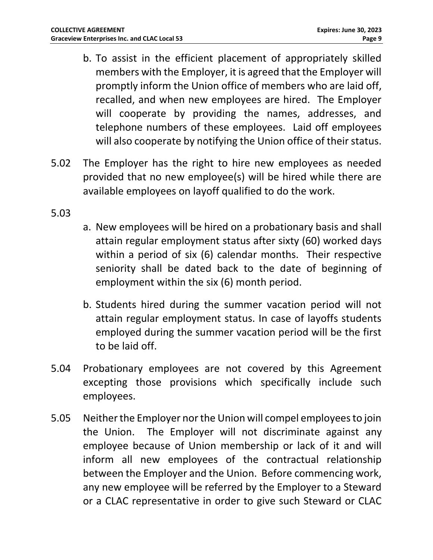- b. To assist in the efficient placement of appropriately skilled members with the Employer, it is agreed that the Employer will promptly inform the Union office of members who are laid off, recalled, and when new employees are hired. The Employer will cooperate by providing the names, addresses, and telephone numbers of these employees. Laid off employees will also cooperate by notifying the Union office of their status.
- 5.02 The Employer has the right to hire new employees as needed provided that no new employee(s) will be hired while there are available employees on layoff qualified to do the work.

#### 5.03

- a. New employees will be hired on a probationary basis and shall attain regular employment status after sixty (60) worked days within a period of six (6) calendar months. Their respective seniority shall be dated back to the date of beginning of employment within the six (6) month period.
- b. Students hired during the summer vacation period will not attain regular employment status. In case of layoffs students employed during the summer vacation period will be the first to be laid off.
- 5.04 Probationary employees are not covered by this Agreement excepting those provisions which specifically include such employees.
- 5.05 Neither the Employer nor the Union will compel employees to join the Union. The Employer will not discriminate against any employee because of Union membership or lack of it and will inform all new employees of the contractual relationship between the Employer and the Union. Before commencing work, any new employee will be referred by the Employer to a Steward or a CLAC representative in order to give such Steward or CLAC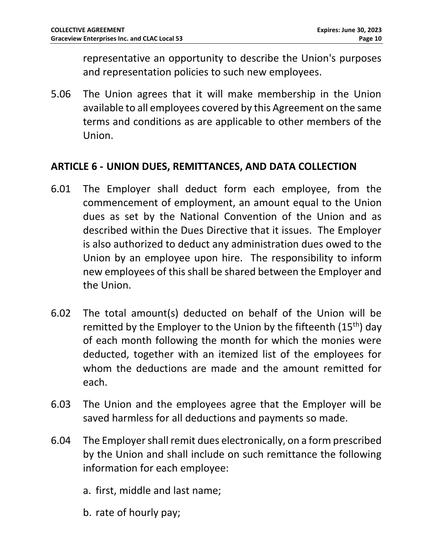representative an opportunity to describe the Union's purposes and representation policies to such new employees.

5.06 The Union agrees that it will make membership in the Union available to all employees covered by this Agreement on the same terms and conditions as are applicable to other members of the Union.

#### <span id="page-9-0"></span>**ARTICLE 6 - UNION DUES, REMITTANCES, AND DATA COLLECTION**

- 6.01 The Employer shall deduct form each employee, from the commencement of employment, an amount equal to the Union dues as set by the National Convention of the Union and as described within the Dues Directive that it issues. The Employer is also authorized to deduct any administration dues owed to the Union by an employee upon hire. The responsibility to inform new employees of this shall be shared between the Employer and the Union.
- 6.02 The total amount(s) deducted on behalf of the Union will be remitted by the Employer to the Union by the fifteenth (15th) day of each month following the month for which the monies were deducted, together with an itemized list of the employees for whom the deductions are made and the amount remitted for each.
- 6.03 The Union and the employees agree that the Employer will be saved harmless for all deductions and payments so made.
- 6.04 The Employer shall remit dues electronically, on a form prescribed by the Union and shall include on such remittance the following information for each employee:
	- a. first, middle and last name;
	- b. rate of hourly pay;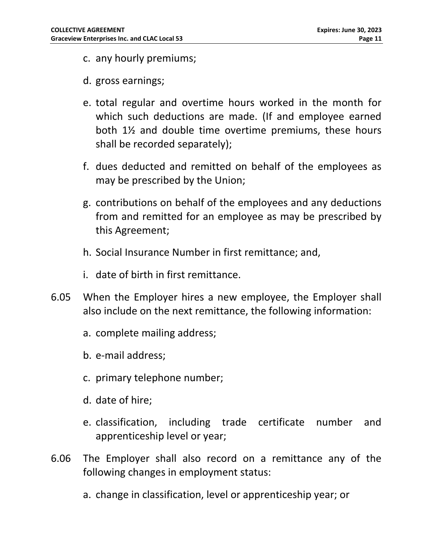- c. any hourly premiums;
- d. gross earnings;
- e. total regular and overtime hours worked in the month for which such deductions are made. (If and employee earned both 1½ and double time overtime premiums, these hours shall be recorded separately);
- f. dues deducted and remitted on behalf of the employees as may be prescribed by the Union;
- g. contributions on behalf of the employees and any deductions from and remitted for an employee as may be prescribed by this Agreement;
- h. Social Insurance Number in first remittance; and,
- i. date of birth in first remittance.
- 6.05 When the Employer hires a new employee, the Employer shall also include on the next remittance, the following information:
	- a. complete mailing address;
	- b. e-mail address;
	- c. primary telephone number;
	- d. date of hire;
	- e. classification, including trade certificate number and apprenticeship level or year;
- 6.06 The Employer shall also record on a remittance any of the following changes in employment status:
	- a. change in classification, level or apprenticeship year; or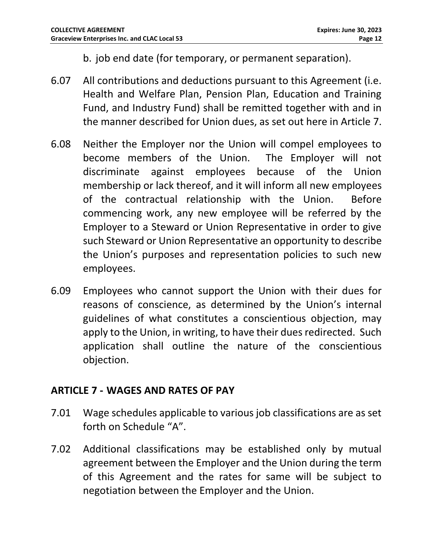b. job end date (for temporary, or permanent separation).

- 6.07 All contributions and deductions pursuant to this Agreement (i.e. Health and Welfare Plan, Pension Plan, Education and Training Fund, and Industry Fund) shall be remitted together with and in the manner described for Union dues, as set out here in Article 7.
- 6.08 Neither the Employer nor the Union will compel employees to become members of the Union. The Employer will not discriminate against employees because of the Union membership or lack thereof, and it will inform all new employees of the contractual relationship with the Union. Before commencing work, any new employee will be referred by the Employer to a Steward or Union Representative in order to give such Steward or Union Representative an opportunity to describe the Union's purposes and representation policies to such new employees.
- 6.09 Employees who cannot support the Union with their dues for reasons of conscience, as determined by the Union's internal guidelines of what constitutes a conscientious objection, may apply to the Union, in writing, to have their dues redirected. Such application shall outline the nature of the conscientious objection.

#### <span id="page-11-0"></span>**ARTICLE 7 - WAGES AND RATES OF PAY**

- 7.01 Wage schedules applicable to various job classifications are as set forth on Schedule "A".
- 7.02 Additional classifications may be established only by mutual agreement between the Employer and the Union during the term of this Agreement and the rates for same will be subject to negotiation between the Employer and the Union.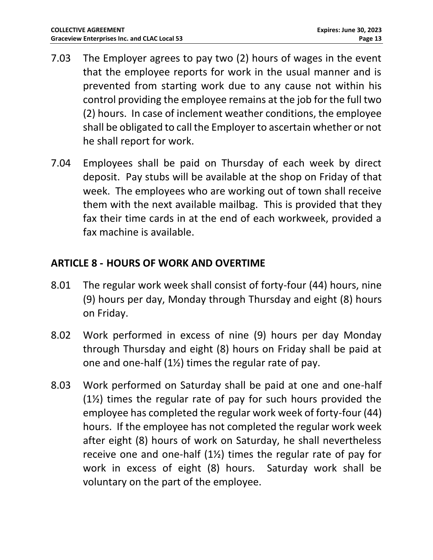- 7.03 The Employer agrees to pay two (2) hours of wages in the event that the employee reports for work in the usual manner and is prevented from starting work due to any cause not within his control providing the employee remains at the job for the full two (2) hours. In case of inclement weather conditions, the employee shall be obligated to call the Employer to ascertain whether or not he shall report for work.
- 7.04 Employees shall be paid on Thursday of each week by direct deposit. Pay stubs will be available at the shop on Friday of that week. The employees who are working out of town shall receive them with the next available mailbag. This is provided that they fax their time cards in at the end of each workweek, provided a fax machine is available.

# <span id="page-12-0"></span>**ARTICLE 8 - HOURS OF WORK AND OVERTIME**

- 8.01 The regular work week shall consist of forty-four (44) hours, nine (9) hours per day, Monday through Thursday and eight (8) hours on Friday.
- 8.02 Work performed in excess of nine (9) hours per day Monday through Thursday and eight (8) hours on Friday shall be paid at one and one-half (1½) times the regular rate of pay.
- 8.03 Work performed on Saturday shall be paid at one and one-half (1½) times the regular rate of pay for such hours provided the employee has completed the regular work week of forty-four (44) hours. If the employee has not completed the regular work week after eight (8) hours of work on Saturday, he shall nevertheless receive one and one-half (1½) times the regular rate of pay for work in excess of eight (8) hours. Saturday work shall be voluntary on the part of the employee.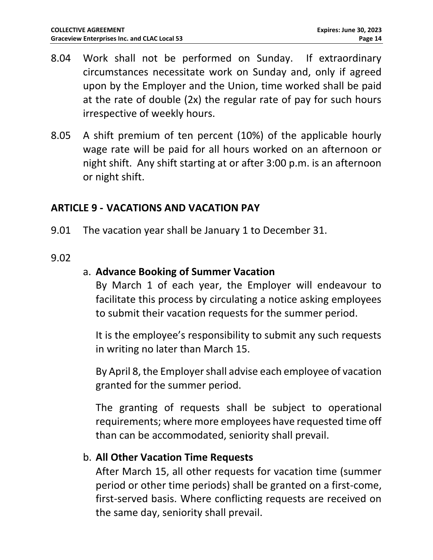- 8.04 Work shall not be performed on Sunday. If extraordinary circumstances necessitate work on Sunday and, only if agreed upon by the Employer and the Union, time worked shall be paid at the rate of double (2x) the regular rate of pay for such hours irrespective of weekly hours.
- 8.05 A shift premium of ten percent (10%) of the applicable hourly wage rate will be paid for all hours worked on an afternoon or night shift. Any shift starting at or after 3:00 p.m. is an afternoon or night shift.

#### <span id="page-13-0"></span>**ARTICLE 9 - VACATIONS AND VACATION PAY**

9.01 The vacation year shall be January 1 to December 31.

#### 9.02

#### a. **Advance Booking of Summer Vacation**

By March 1 of each year, the Employer will endeavour to facilitate this process by circulating a notice asking employees to submit their vacation requests for the summer period.

It is the employee's responsibility to submit any such requests in writing no later than March 15.

By April 8, the Employer shall advise each employee of vacation granted for the summer period.

The granting of requests shall be subject to operational requirements; where more employees have requested time off than can be accommodated, seniority shall prevail.

#### b. **All Other Vacation Time Requests**

After March 15, all other requests for vacation time (summer period or other time periods) shall be granted on a first-come, first-served basis. Where conflicting requests are received on the same day, seniority shall prevail.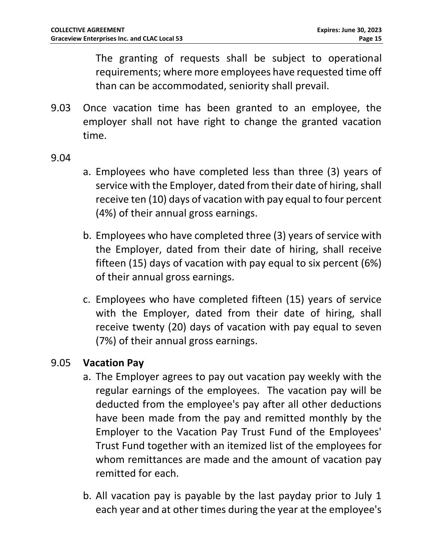The granting of requests shall be subject to operational requirements; where more employees have requested time off than can be accommodated, seniority shall prevail.

9.03 Once vacation time has been granted to an employee, the employer shall not have right to change the granted vacation time.

9.04

- a. Employees who have completed less than three (3) years of service with the Employer, dated from their date of hiring, shall receive ten (10) days of vacation with pay equal to four percent (4%) of their annual gross earnings.
- b. Employees who have completed three (3) years of service with the Employer, dated from their date of hiring, shall receive fifteen (15) days of vacation with pay equal to six percent (6%) of their annual gross earnings.
- c. Employees who have completed fifteen (15) years of service with the Employer, dated from their date of hiring, shall receive twenty (20) days of vacation with pay equal to seven (7%) of their annual gross earnings.

# 9.05 **Vacation Pay**

- a. The Employer agrees to pay out vacation pay weekly with the regular earnings of the employees. The vacation pay will be deducted from the employee's pay after all other deductions have been made from the pay and remitted monthly by the Employer to the Vacation Pay Trust Fund of the Employees' Trust Fund together with an itemized list of the employees for whom remittances are made and the amount of vacation pay remitted for each.
- b. All vacation pay is payable by the last payday prior to July 1 each year and at other times during the year at the employee's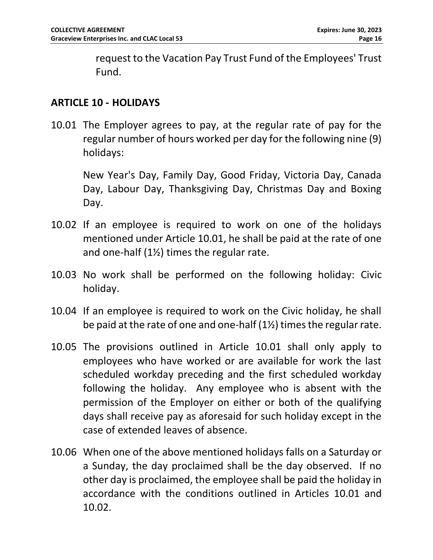request to the Vacation Pay Trust Fund of the Employees' Trust Fund.

#### <span id="page-15-0"></span>**ARTICLE 10 - HOLIDAYS**

<span id="page-15-1"></span>10.01 The Employer agrees to pay, at the regular rate of pay for the regular number of hours worked per day for the following nine (9) holidays:

New Year's Day, Family Day, Good Friday, Victoria Day, Canada Day, Labour Day, Thanksgiving Day, Christmas Day and Boxing Day.

- <span id="page-15-2"></span>10.02 If an employee is required to work on one of the holidays mentioned under Article [10.01,](#page-15-1) he shall be paid at the rate of one and one-half (1½) times the regular rate.
- 10.03 No work shall be performed on the following holiday: Civic holiday.
- 10.04 If an employee is required to work on the Civic holiday, he shall be paid at the rate of one and one-half (1½) times the regular rate.
- 10.05 The provisions outlined in Article [10.01](#page-15-1) shall only apply to employees who have worked or are available for work the last scheduled workday preceding and the first scheduled workday following the holiday. Any employee who is absent with the permission of the Employer on either or both of the qualifying days shall receive pay as aforesaid for such holiday except in the case of extended leaves of absence.
- 10.06 When one of the above mentioned holidays falls on a Saturday or a Sunday, the day proclaimed shall be the day observed. If no other day is proclaimed, the employee shall be paid the holiday in accordance with the conditions outlined in Articles [10.01](#page-15-1) and [10.02.](#page-15-2)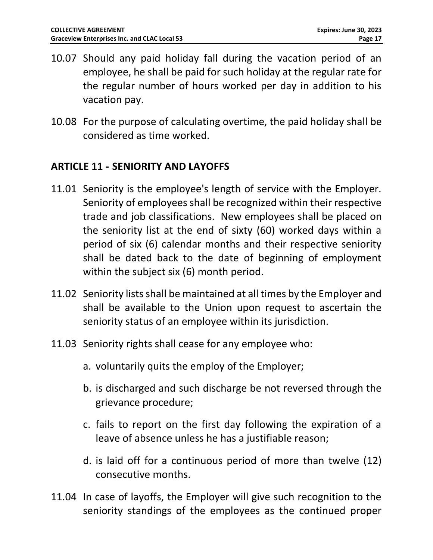- 10.07 Should any paid holiday fall during the vacation period of an employee, he shall be paid for such holiday at the regular rate for the regular number of hours worked per day in addition to his vacation pay.
- 10.08 For the purpose of calculating overtime, the paid holiday shall be considered as time worked.

#### <span id="page-16-0"></span>**ARTICLE 11 - SENIORITY AND LAYOFFS**

- 11.01 Seniority is the employee's length of service with the Employer. Seniority of employees shall be recognized within their respective trade and job classifications. New employees shall be placed on the seniority list at the end of sixty (60) worked days within a period of six (6) calendar months and their respective seniority shall be dated back to the date of beginning of employment within the subject six (6) month period.
- 11.02 Seniority lists shall be maintained at all times by the Employer and shall be available to the Union upon request to ascertain the seniority status of an employee within its jurisdiction.
- 11.03 Seniority rights shall cease for any employee who:
	- a. voluntarily quits the employ of the Employer;
	- b. is discharged and such discharge be not reversed through the grievance procedure;
	- c. fails to report on the first day following the expiration of a leave of absence unless he has a justifiable reason;
	- d. is laid off for a continuous period of more than twelve (12) consecutive months.
- 11.04 In case of layoffs, the Employer will give such recognition to the seniority standings of the employees as the continued proper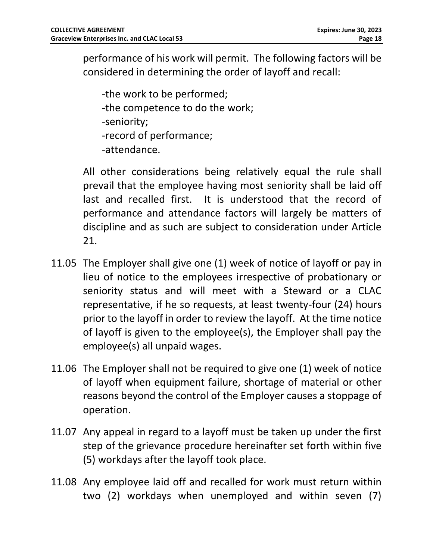performance of his work will permit. The following factors will be considered in determining the order of layoff and recall:

-the work to be performed; -the competence to do the work; -seniority; -record of performance; -attendance.

All other considerations being relatively equal the rule shall prevail that the employee having most seniority shall be laid off last and recalled first. It is understood that the record of performance and attendance factors will largely be matters of discipline and as such are subject to consideration under Article 21.

- 11.05 The Employer shall give one (1) week of notice of layoff or pay in lieu of notice to the employees irrespective of probationary or seniority status and will meet with a Steward or a CLAC representative, if he so requests, at least twenty-four (24) hours prior to the layoff in order to review the layoff. At the time notice of layoff is given to the employee(s), the Employer shall pay the employee(s) all unpaid wages.
- 11.06 The Employer shall not be required to give one (1) week of notice of layoff when equipment failure, shortage of material or other reasons beyond the control of the Employer causes a stoppage of operation.
- 11.07 Any appeal in regard to a layoff must be taken up under the first step of the grievance procedure hereinafter set forth within five (5) workdays after the layoff took place.
- 11.08 Any employee laid off and recalled for work must return within two (2) workdays when unemployed and within seven (7)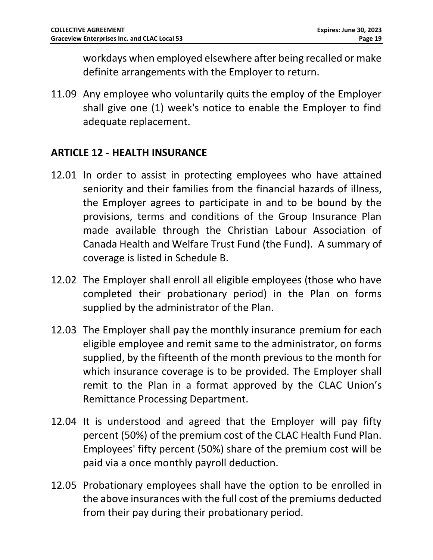workdays when employed elsewhere after being recalled or make definite arrangements with the Employer to return.

11.09 Any employee who voluntarily quits the employ of the Employer shall give one (1) week's notice to enable the Employer to find adequate replacement.

#### <span id="page-18-0"></span>**ARTICLE 12 - HEALTH INSURANCE**

- <span id="page-18-1"></span>12.01 In order to assist in protecting employees who have attained seniority and their families from the financial hazards of illness, the Employer agrees to participate in and to be bound by the provisions, terms and conditions of the Group Insurance Plan made available through the Christian Labour Association of Canada Health and Welfare Trust Fund (the Fund). A summary of coverage is listed in Schedule B.
- 12.02 The Employer shall enroll all eligible employees (those who have completed their probationary period) in the Plan on forms supplied by the administrator of the Plan.
- 12.03 The Employer shall pay the monthly insurance premium for each eligible employee and remit same to the administrator, on forms supplied, by the fifteenth of the month previous to the month for which insurance coverage is to be provided. The Employer shall remit to the Plan in a format approved by the CLAC Union's Remittance Processing Department.
- 12.04 It is understood and agreed that the Employer will pay fifty percent (50%) of the premium cost of the CLAC Health Fund Plan. Employees' fifty percent (50%) share of the premium cost will be paid via a once monthly payroll deduction.
- 12.05 Probationary employees shall have the option to be enrolled in the above insurances with the full cost of the premiums deducted from their pay during their probationary period.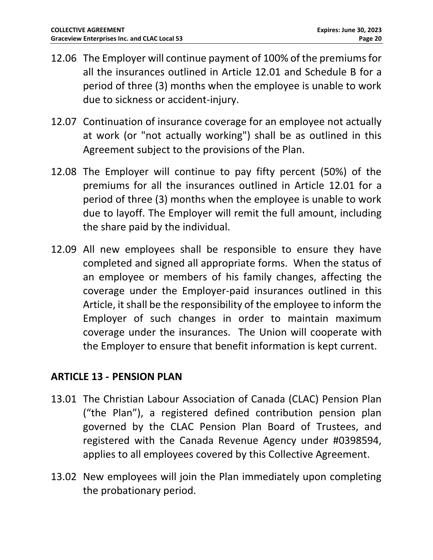- 12.06 The Employer will continue payment of 100% of the premiums for all the insurances outlined in Article 12.01 and Schedule B for a period of three (3) months when the employee is unable to work due to sickness or accident-injury.
- 12.07 Continuation of insurance coverage for an employee not actually at work (or "not actually working") shall be as outlined in this Agreement subject to the provisions of the Plan.
- 12.08 The Employer will continue to pay fifty percent (50%) of the premiums for all the insurances outlined in Article [12.01](#page-18-1) for a period of three (3) months when the employee is unable to work due to layoff. The Employer will remit the full amount, including the share paid by the individual.
- 12.09 All new employees shall be responsible to ensure they have completed and signed all appropriate forms. When the status of an employee or members of his family changes, affecting the coverage under the Employer-paid insurances outlined in this Article, it shall be the responsibility of the employee to inform the Employer of such changes in order to maintain maximum coverage under the insurances. The Union will cooperate with the Employer to ensure that benefit information is kept current.

#### <span id="page-19-0"></span>**ARTICLE 13 - PENSION PLAN**

- 13.01 The Christian Labour Association of Canada (CLAC) Pension Plan ("the Plan"), a registered defined contribution pension plan governed by the CLAC Pension Plan Board of Trustees, and registered with the Canada Revenue Agency under #0398594, applies to all employees covered by this Collective Agreement.
- 13.02 New employees will join the Plan immediately upon completing the probationary period.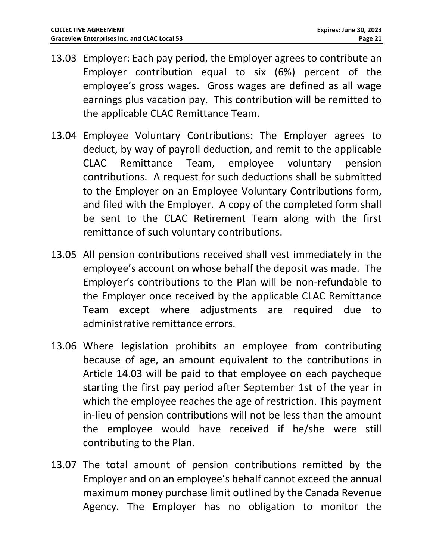- 13.03 Employer: Each pay period, the Employer agrees to contribute an Employer contribution equal to six (6%) percent of the employee's gross wages. Gross wages are defined as all wage earnings plus vacation pay. This contribution will be remitted to the applicable CLAC Remittance Team.
- 13.04 Employee Voluntary Contributions: The Employer agrees to deduct, by way of payroll deduction, and remit to the applicable CLAC Remittance Team, employee voluntary pension contributions. A request for such deductions shall be submitted to the Employer on an Employee Voluntary Contributions form, and filed with the Employer. A copy of the completed form shall be sent to the CLAC Retirement Team along with the first remittance of such voluntary contributions.
- 13.05 All pension contributions received shall vest immediately in the employee's account on whose behalf the deposit was made. The Employer's contributions to the Plan will be non-refundable to the Employer once received by the applicable CLAC Remittance Team except where adjustments are required due to administrative remittance errors.
- 13.06 Where legislation prohibits an employee from contributing because of age, an amount equivalent to the contributions in Article 14.03 will be paid to that employee on each paycheque starting the first pay period after September 1st of the year in which the employee reaches the age of restriction. This payment in-lieu of pension contributions will not be less than the amount the employee would have received if he/she were still contributing to the Plan.
- 13.07 The total amount of pension contributions remitted by the Employer and on an employee's behalf cannot exceed the annual maximum money purchase limit outlined by the Canada Revenue Agency. The Employer has no obligation to monitor the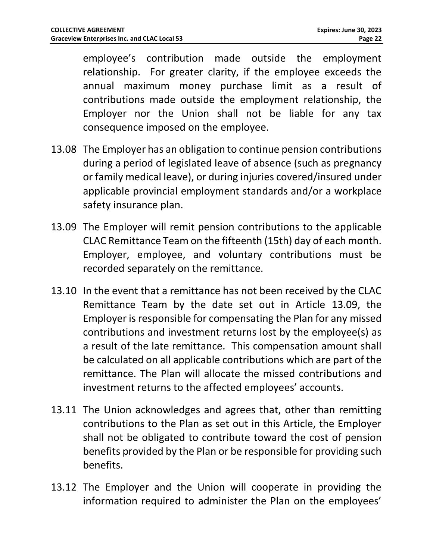employee's contribution made outside the employment relationship. For greater clarity, if the employee exceeds the annual maximum money purchase limit as a result of contributions made outside the employment relationship, the Employer nor the Union shall not be liable for any tax consequence imposed on the employee.

- 13.08 The Employer has an obligation to continue pension contributions during a period of legislated leave of absence (such as pregnancy or family medical leave), or during injuries covered/insured under applicable provincial employment standards and/or a workplace safety insurance plan.
- 13.09 The Employer will remit pension contributions to the applicable CLAC Remittance Team on the fifteenth (15th) day of each month. Employer, employee, and voluntary contributions must be recorded separately on the remittance.
- 13.10 In the event that a remittance has not been received by the CLAC Remittance Team by the date set out in Article 13.09, the Employer is responsible for compensating the Plan for any missed contributions and investment returns lost by the employee(s) as a result of the late remittance. This compensation amount shall be calculated on all applicable contributions which are part of the remittance. The Plan will allocate the missed contributions and investment returns to the affected employees' accounts.
- 13.11 The Union acknowledges and agrees that, other than remitting contributions to the Plan as set out in this Article, the Employer shall not be obligated to contribute toward the cost of pension benefits provided by the Plan or be responsible for providing such benefits.
- 13.12 The Employer and the Union will cooperate in providing the information required to administer the Plan on the employees'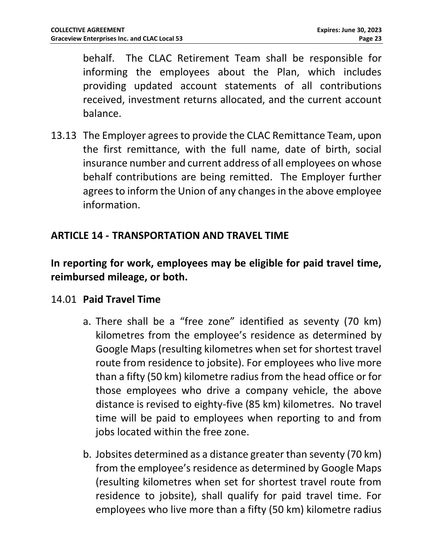behalf. The CLAC Retirement Team shall be responsible for informing the employees about the Plan, which includes providing updated account statements of all contributions received, investment returns allocated, and the current account balance.

13.13 The Employer agrees to provide the CLAC Remittance Team, upon the first remittance, with the full name, date of birth, social insurance number and current address of all employees on whose behalf contributions are being remitted. The Employer further agrees to inform the Union of any changes in the above employee information.

#### <span id="page-22-0"></span>**ARTICLE 14 - TRANSPORTATION AND TRAVEL TIME**

# **In reporting for work, employees may be eligible for paid travel time, reimbursed mileage, or both.**

#### 14.01 **Paid Travel Time**

- a. There shall be a "free zone" identified as seventy (70 km) kilometres from the employee's residence as determined by Google Maps (resulting kilometres when set for shortest travel route from residence to jobsite). For employees who live more than a fifty (50 km) kilometre radius from the head office or for those employees who drive a company vehicle, the above distance is revised to eighty-five (85 km) kilometres. No travel time will be paid to employees when reporting to and from jobs located within the free zone.
- b. Jobsites determined as a distance greater than seventy (70 km) from the employee's residence as determined by Google Maps (resulting kilometres when set for shortest travel route from residence to jobsite), shall qualify for paid travel time. For employees who live more than a fifty (50 km) kilometre radius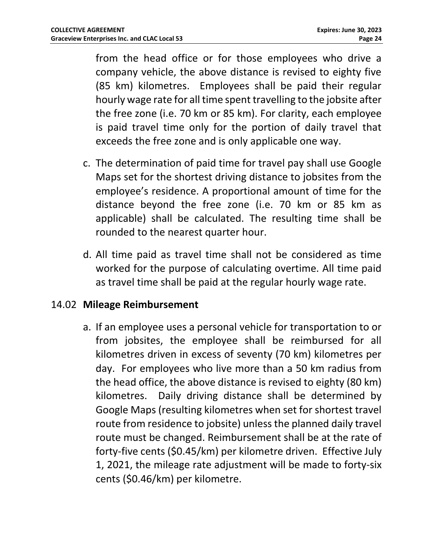from the head office or for those employees who drive a company vehicle, the above distance is revised to eighty five (85 km) kilometres. Employees shall be paid their regular hourly wage rate for all time spent travelling to the jobsite after the free zone (i.e. 70 km or 85 km). For clarity, each employee is paid travel time only for the portion of daily travel that exceeds the free zone and is only applicable one way.

- c. The determination of paid time for travel pay shall use Google Maps set for the shortest driving distance to jobsites from the employee's residence. A proportional amount of time for the distance beyond the free zone (i.e. 70 km or 85 km as applicable) shall be calculated. The resulting time shall be rounded to the nearest quarter hour.
- d. All time paid as travel time shall not be considered as time worked for the purpose of calculating overtime. All time paid as travel time shall be paid at the regular hourly wage rate.

#### 14.02 **Mileage Reimbursement**

a. If an employee uses a personal vehicle for transportation to or from jobsites, the employee shall be reimbursed for all kilometres driven in excess of seventy (70 km) kilometres per day. For employees who live more than a 50 km radius from the head office, the above distance is revised to eighty (80 km) kilometres. Daily driving distance shall be determined by Google Maps (resulting kilometres when set for shortest travel route from residence to jobsite) unless the planned daily travel route must be changed. Reimbursement shall be at the rate of forty-five cents (\$0.45/km) per kilometre driven. Effective July 1, 2021, the mileage rate adjustment will be made to forty-six cents (\$0.46/km) per kilometre.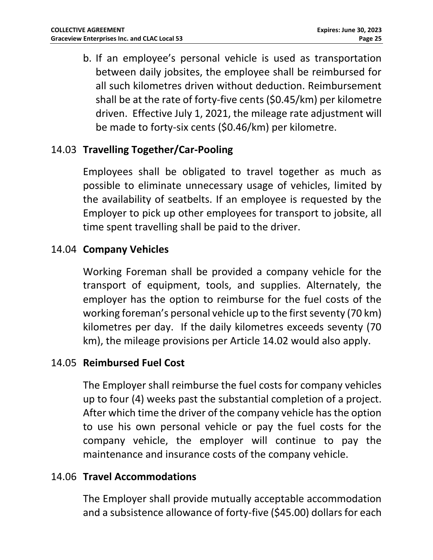b. If an employee's personal vehicle is used as transportation between daily jobsites, the employee shall be reimbursed for all such kilometres driven without deduction. Reimbursement shall be at the rate of forty-five cents (\$0.45/km) per kilometre driven. Effective July 1, 2021, the mileage rate adjustment will be made to forty-six cents (\$0.46/km) per kilometre.

## 14.03 **Travelling Together/Car-Pooling**

Employees shall be obligated to travel together as much as possible to eliminate unnecessary usage of vehicles, limited by the availability of seatbelts. If an employee is requested by the Employer to pick up other employees for transport to jobsite, all time spent travelling shall be paid to the driver.

#### 14.04 **Company Vehicles**

Working Foreman shall be provided a company vehicle for the transport of equipment, tools, and supplies. Alternately, the employer has the option to reimburse for the fuel costs of the working foreman's personal vehicle up to the first seventy (70 km) kilometres per day. If the daily kilometres exceeds seventy (70 km), the mileage provisions per Article 14.02 would also apply.

#### 14.05 **Reimbursed Fuel Cost**

The Employer shall reimburse the fuel costs for company vehicles up to four (4) weeks past the substantial completion of a project. After which time the driver of the company vehicle has the option to use his own personal vehicle or pay the fuel costs for the company vehicle, the employer will continue to pay the maintenance and insurance costs of the company vehicle.

#### 14.06 **Travel Accommodations**

The Employer shall provide mutually acceptable accommodation and a subsistence allowance of forty-five (\$45.00) dollars for each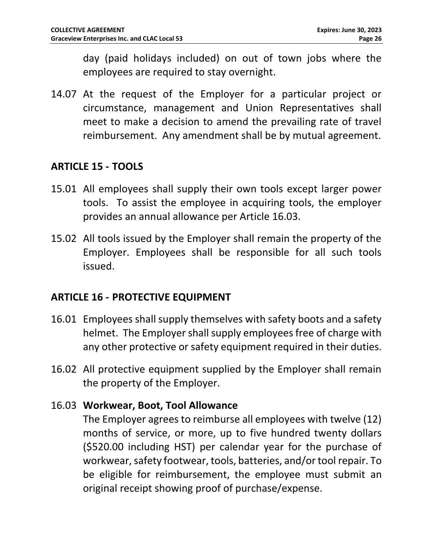day (paid holidays included) on out of town jobs where the employees are required to stay overnight.

14.07 At the request of the Employer for a particular project or circumstance, management and Union Representatives shall meet to make a decision to amend the prevailing rate of travel reimbursement. Any amendment shall be by mutual agreement.

#### <span id="page-25-0"></span>**ARTICLE 15 - TOOLS**

- 15.01 All employees shall supply their own tools except larger power tools. To assist the employee in acquiring tools, the employer provides an annual allowance per Article 16.03.
- 15.02 All tools issued by the Employer shall remain the property of the Employer. Employees shall be responsible for all such tools issued.

#### <span id="page-25-1"></span>**ARTICLE 16 - PROTECTIVE EQUIPMENT**

- 16.01 Employees shall supply themselves with safety boots and a safety helmet. The Employer shall supply employees free of charge with any other protective or safety equipment required in their duties.
- 16.02 All protective equipment supplied by the Employer shall remain the property of the Employer.

#### 16.03 **Workwear, Boot, Tool Allowance**

The Employer agrees to reimburse all employees with twelve (12) months of service, or more, up to five hundred twenty dollars (\$520.00 including HST) per calendar year for the purchase of workwear, safety footwear, tools, batteries, and/or tool repair. To be eligible for reimbursement, the employee must submit an original receipt showing proof of purchase/expense.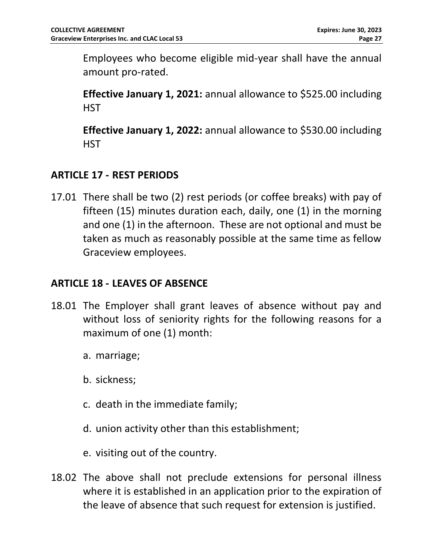Employees who become eligible mid-year shall have the annual amount pro-rated.

**Effective January 1, 2021:** annual allowance to \$525.00 including **HST** 

**Effective January 1, 2022:** annual allowance to \$530.00 including **HST** 

# <span id="page-26-0"></span>**ARTICLE 17 - REST PERIODS**

17.01 There shall be two (2) rest periods (or coffee breaks) with pay of fifteen (15) minutes duration each, daily, one (1) in the morning and one (1) in the afternoon. These are not optional and must be taken as much as reasonably possible at the same time as fellow Graceview employees.

#### <span id="page-26-1"></span>**ARTICLE 18 - LEAVES OF ABSENCE**

- <span id="page-26-2"></span>18.01 The Employer shall grant leaves of absence without pay and without loss of seniority rights for the following reasons for a maximum of one (1) month:
	- a. marriage;
	- b. sickness;
	- c. death in the immediate family;
	- d. union activity other than this establishment;
	- e. visiting out of the country.
- 18.02 The above shall not preclude extensions for personal illness where it is established in an application prior to the expiration of the leave of absence that such request for extension is justified.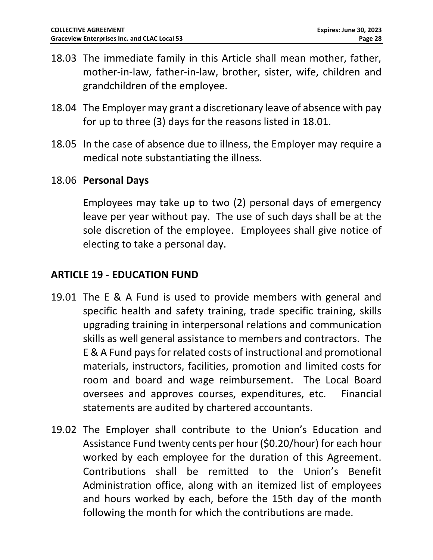- 18.03 The immediate family in this Article shall mean mother, father, mother-in-law, father-in-law, brother, sister, wife, children and grandchildren of the employee.
- 18.04 The Employer may grant a discretionary leave of absence with pay for up to three (3) days for the reasons listed in [18.01.](#page-26-2)
- 18.05 In the case of absence due to illness, the Employer may require a medical note substantiating the illness.
- 18.06 **Personal Days**

Employees may take up to two (2) personal days of emergency leave per year without pay. The use of such days shall be at the sole discretion of the employee. Employees shall give notice of electing to take a personal day.

#### <span id="page-27-0"></span>**ARTICLE 19 - EDUCATION FUND**

- 19.01 The E & A Fund is used to provide members with general and specific health and safety training, trade specific training, skills upgrading training in interpersonal relations and communication skills as well general assistance to members and contractors. The E & A Fund pays for related costs of instructional and promotional materials, instructors, facilities, promotion and limited costs for room and board and wage reimbursement. The Local Board oversees and approves courses, expenditures, etc. Financial statements are audited by chartered accountants.
- 19.02 The Employer shall contribute to the Union's Education and Assistance Fund twenty cents per hour (\$0.20/hour) for each hour worked by each employee for the duration of this Agreement. Contributions shall be remitted to the Union's Benefit Administration office, along with an itemized list of employees and hours worked by each, before the 15th day of the month following the month for which the contributions are made.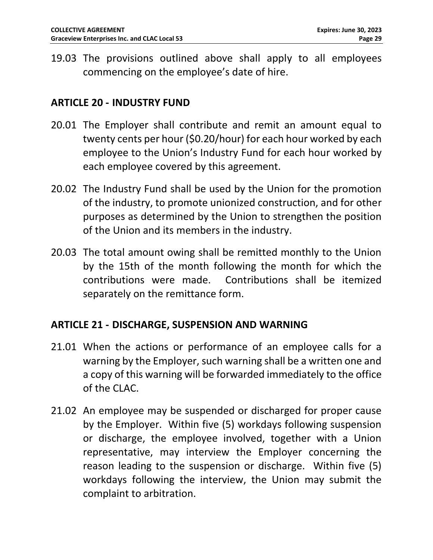19.03 The provisions outlined above shall apply to all employees commencing on the employee's date of hire.

#### <span id="page-28-0"></span>**ARTICLE 20 - INDUSTRY FUND**

- 20.01 The Employer shall contribute and remit an amount equal to twenty cents per hour (\$0.20/hour) for each hour worked by each employee to the Union's Industry Fund for each hour worked by each employee covered by this agreement.
- 20.02 The Industry Fund shall be used by the Union for the promotion of the industry, to promote unionized construction, and for other purposes as determined by the Union to strengthen the position of the Union and its members in the industry.
- 20.03 The total amount owing shall be remitted monthly to the Union by the 15th of the month following the month for which the contributions were made. Contributions shall be itemized separately on the remittance form.

#### <span id="page-28-1"></span>**ARTICLE 21 - DISCHARGE, SUSPENSION AND WARNING**

- 21.01 When the actions or performance of an employee calls for a warning by the Employer, such warning shall be a written one and a copy of this warning will be forwarded immediately to the office of the CLAC.
- 21.02 An employee may be suspended or discharged for proper cause by the Employer. Within five (5) workdays following suspension or discharge, the employee involved, together with a Union representative, may interview the Employer concerning the reason leading to the suspension or discharge. Within five (5) workdays following the interview, the Union may submit the complaint to arbitration.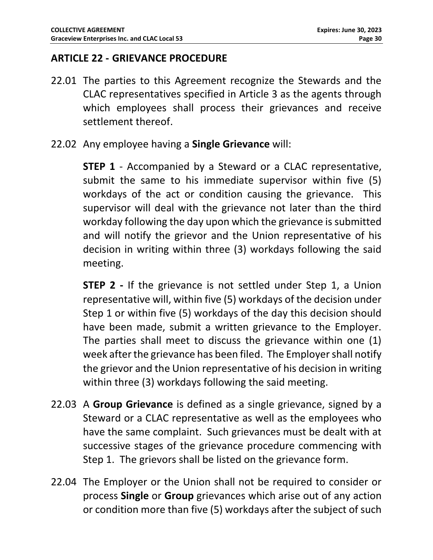#### <span id="page-29-0"></span>**ARTICLE 22 - GRIEVANCE PROCEDURE**

- 22.01 The parties to this Agreement recognize the Stewards and the CLAC representatives specified in Article 3 as the agents through which employees shall process their grievances and receive settlement thereof.
- 22.02 Any employee having a **Single Grievance** will:

**STEP 1** - Accompanied by a Steward or a CLAC representative, submit the same to his immediate supervisor within five (5) workdays of the act or condition causing the grievance. This supervisor will deal with the grievance not later than the third workday following the day upon which the grievance is submitted and will notify the grievor and the Union representative of his decision in writing within three (3) workdays following the said meeting.

**STEP 2** - If the grievance is not settled under Step 1, a Union representative will, within five (5) workdays of the decision under Step 1 or within five (5) workdays of the day this decision should have been made, submit a written grievance to the Employer. The parties shall meet to discuss the grievance within one (1) week after the grievance has been filed. The Employer shall notify the grievor and the Union representative of his decision in writing within three (3) workdays following the said meeting.

- 22.03 A **Group Grievance** is defined as a single grievance, signed by a Steward or a CLAC representative as well as the employees who have the same complaint. Such grievances must be dealt with at successive stages of the grievance procedure commencing with Step 1. The grievors shall be listed on the grievance form.
- 22.04 The Employer or the Union shall not be required to consider or process **Single** or **Group** grievances which arise out of any action or condition more than five (5) workdays after the subject of such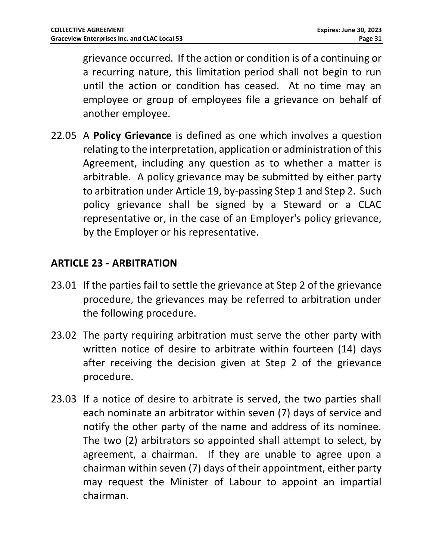grievance occurred. If the action or condition is of a continuing or a recurring nature, this limitation period shall not begin to run until the action or condition has ceased. At no time may an employee or group of employees file a grievance on behalf of another employee.

22.05 A **Policy Grievance** is defined as one which involves a question relating to the interpretation, application or administration of this Agreement, including any question as to whether a matter is arbitrable. A policy grievance may be submitted by either party to arbitration under Article 19, by-passing Step 1 and Step 2. Such policy grievance shall be signed by a Steward or a CLAC representative or, in the case of an Employer's policy grievance, by the Employer or his representative.

#### <span id="page-30-0"></span>**ARTICLE 23 - ARBITRATION**

- 23.01 If the parties fail to settle the grievance at Step 2 of the grievance procedure, the grievances may be referred to arbitration under the following procedure.
- 23.02 The party requiring arbitration must serve the other party with written notice of desire to arbitrate within fourteen (14) days after receiving the decision given at Step 2 of the grievance procedure.
- <span id="page-30-1"></span>23.03 If a notice of desire to arbitrate is served, the two parties shall each nominate an arbitrator within seven (7) days of service and notify the other party of the name and address of its nominee. The two (2) arbitrators so appointed shall attempt to select, by agreement, a chairman. If they are unable to agree upon a chairman within seven (7) days of their appointment, either party may request the Minister of Labour to appoint an impartial chairman.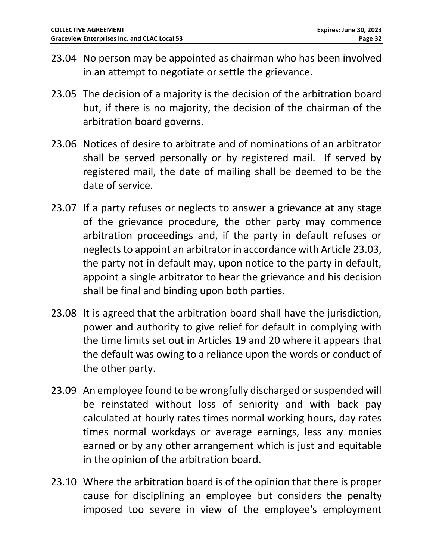- 23.04 No person may be appointed as chairman who has been involved in an attempt to negotiate or settle the grievance.
- 23.05 The decision of a majority is the decision of the arbitration board but, if there is no majority, the decision of the chairman of the arbitration board governs.
- 23.06 Notices of desire to arbitrate and of nominations of an arbitrator shall be served personally or by registered mail. If served by registered mail, the date of mailing shall be deemed to be the date of service.
- 23.07 If a party refuses or neglects to answer a grievance at any stage of the grievance procedure, the other party may commence arbitration proceedings and, if the party in default refuses or neglects to appoint an arbitrator in accordance with Article [23.03,](#page-30-1) the party not in default may, upon notice to the party in default, appoint a single arbitrator to hear the grievance and his decision shall be final and binding upon both parties.
- 23.08 It is agreed that the arbitration board shall have the jurisdiction, power and authority to give relief for default in complying with the time limits set out in Articles 19 and 20 where it appears that the default was owing to a reliance upon the words or conduct of the other party.
- 23.09 An employee found to be wrongfully discharged or suspended will be reinstated without loss of seniority and with back pay calculated at hourly rates times normal working hours, day rates times normal workdays or average earnings, less any monies earned or by any other arrangement which is just and equitable in the opinion of the arbitration board.
- 23.10 Where the arbitration board is of the opinion that there is proper cause for disciplining an employee but considers the penalty imposed too severe in view of the employee's employment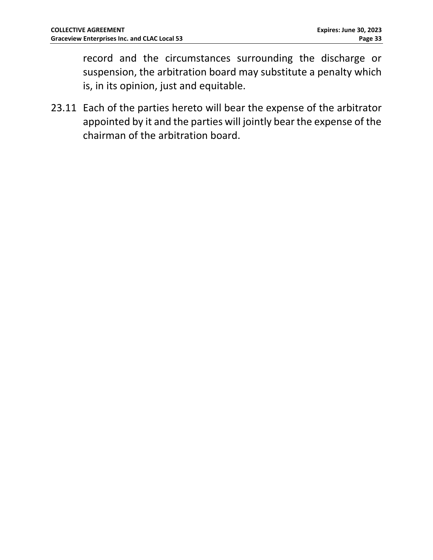record and the circumstances surrounding the discharge or suspension, the arbitration board may substitute a penalty which is, in its opinion, just and equitable.

23.11 Each of the parties hereto will bear the expense of the arbitrator appointed by it and the parties will jointly bear the expense of the chairman of the arbitration board.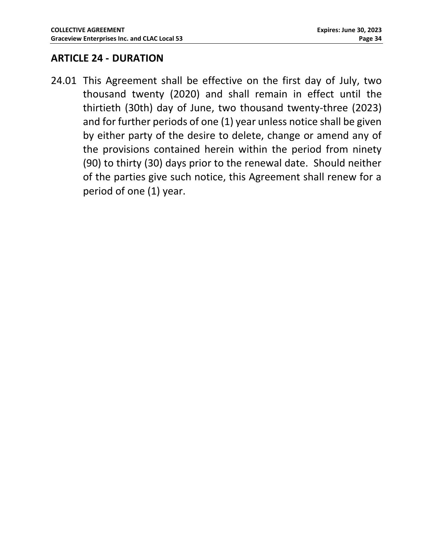#### <span id="page-33-0"></span>**ARTICLE 24 - DURATION**

24.01 This Agreement shall be effective on the first day of July, two thousand twenty (2020) and shall remain in effect until the thirtieth (30th) day of June, two thousand twenty-three (2023) and for further periods of one (1) year unless notice shall be given by either party of the desire to delete, change or amend any of the provisions contained herein within the period from ninety (90) to thirty (30) days prior to the renewal date. Should neither of the parties give such notice, this Agreement shall renew for a period of one (1) year.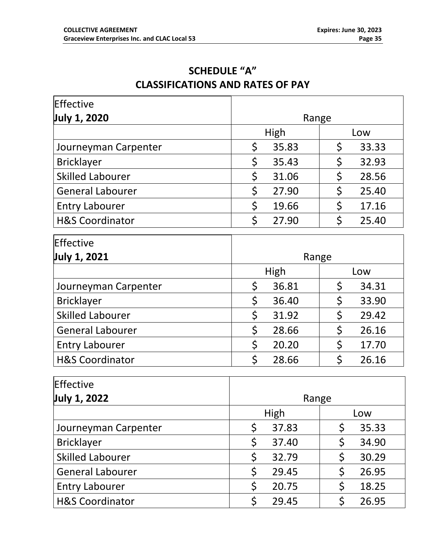# **SCHEDULE "A" CLASSIFICATIONS AND RATES OF PAY**

<span id="page-34-1"></span><span id="page-34-0"></span>

| Effective                  |                    |             |  |
|----------------------------|--------------------|-------------|--|
| July 1, 2020               | Range              |             |  |
|                            | <b>High</b>        | Low         |  |
| Journeyman Carpenter       | \$<br>35.83        | \$<br>33.33 |  |
| <b>Bricklayer</b>          | \$<br>35.43        | \$<br>32.93 |  |
| <b>Skilled Labourer</b>    | \$<br>31.06        | \$<br>28.56 |  |
| <b>General Labourer</b>    | \$<br>27.90        | \$<br>25.40 |  |
| <b>Entry Labourer</b>      | \$<br>19.66        | \$<br>17.16 |  |
| <b>H&amp;S Coordinator</b> | \$<br>27.90        | \$<br>25.40 |  |
| Effective                  |                    |             |  |
| July 1, 2021               | Range              |             |  |
|                            | High               | Low         |  |
| Journeyman Carpenter       | \$<br>36.81        | \$<br>34.31 |  |
| <b>Bricklayer</b>          | \$<br>36.40        | \$<br>33.90 |  |
| <b>Skilled Labourer</b>    | \$<br>31.92        | \$<br>29.42 |  |
| <b>General Labourer</b>    | \$<br>28.66        | \$<br>26.16 |  |
| <b>Entry Labourer</b>      | \$<br>20.20        | \$<br>17.70 |  |
| <b>H&amp;S Coordinator</b> | \$<br>28.66        | \$<br>26.16 |  |
| <b>Effective</b>           |                    |             |  |
| July 1, 2022               | Range              |             |  |
|                            | <b>High</b><br>Low |             |  |
| Journeyman Carpenter       | \$<br>37.83        | \$<br>35.33 |  |
| <b>Bricklayer</b>          | \$<br>37.40        | \$<br>34.90 |  |
| <b>Skilled Labourer</b>    | \$<br>32.79        | \$<br>30.29 |  |
| <b>General Labourer</b>    | \$<br>29.45        | \$<br>26.95 |  |
| <b>Entry Labourer</b>      | \$<br>20.75        | \$<br>18.25 |  |
| <b>H&amp;S Coordinator</b> | \$<br>29.45        | \$<br>26.95 |  |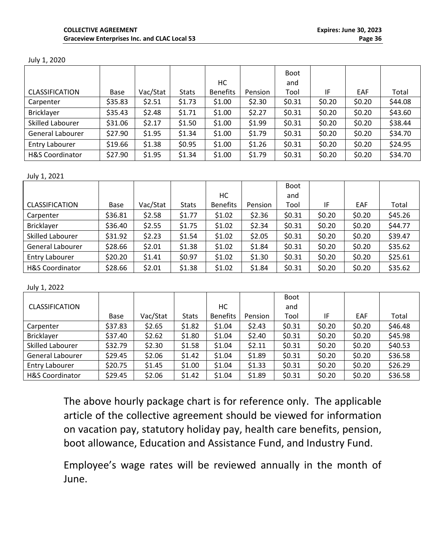|  |  |  | July 1, 2020 |
|--|--|--|--------------|
|--|--|--|--------------|

|                            |         |          |              |                 |         | <b>Boot</b> |        |        |         |
|----------------------------|---------|----------|--------------|-----------------|---------|-------------|--------|--------|---------|
|                            |         |          |              | HC.             |         | and         |        |        |         |
| <b>CLASSIFICATION</b>      | Base    | Vac/Stat | <b>Stats</b> | <b>Benefits</b> | Pension | Tool        | IF     | EAF    | Total   |
| Carpenter                  | \$35.83 | \$2.51   | \$1.73       | \$1.00          | \$2.30  | \$0.31      | \$0.20 | \$0.20 | \$44.08 |
| <b>Bricklayer</b>          | \$35.43 | \$2.48   | \$1.71       | \$1.00          | \$2.27  | \$0.31      | \$0.20 | \$0.20 | \$43.60 |
| Skilled Labourer           | \$31.06 | \$2.17   | \$1.50       | \$1.00          | \$1.99  | \$0.31      | \$0.20 | \$0.20 | \$38.44 |
| General Labourer           | \$27.90 | \$1.95   | \$1.34       | \$1.00          | \$1.79  | \$0.31      | \$0.20 | \$0.20 | \$34.70 |
| Entry Labourer             | \$19.66 | \$1.38   | \$0.95       | \$1.00          | \$1.26  | \$0.31      | \$0.20 | \$0.20 | \$24.95 |
| <b>H&amp;S Coordinator</b> | \$27.90 | \$1.95   | \$1.34       | \$1.00          | \$1.79  | \$0.31      | \$0.20 | \$0.20 | \$34.70 |

#### July 1, 2021

|                            |         |          |              |                 |         | <b>Boot</b> |        |            |         |
|----------------------------|---------|----------|--------------|-----------------|---------|-------------|--------|------------|---------|
|                            |         |          |              | HC              |         | and         |        |            |         |
| <b>CLASSIFICATION</b>      | Base    | Vac/Stat | <b>Stats</b> | <b>Benefits</b> | Pension | Tool        | IF     | <b>EAF</b> | Total   |
| Carpenter                  | \$36.81 | \$2.58   | \$1.77       | \$1.02          | \$2.36  | \$0.31      | \$0.20 | \$0.20     | \$45.26 |
| <b>Bricklayer</b>          | \$36.40 | \$2.55   | \$1.75       | \$1.02          | \$2.34  | \$0.31      | \$0.20 | \$0.20     | \$44.77 |
| Skilled Labourer           | \$31.92 | \$2.23   | \$1.54       | \$1.02          | \$2.05  | \$0.31      | \$0.20 | \$0.20     | \$39.47 |
| General Labourer           | \$28.66 | \$2.01   | \$1.38       | \$1.02          | \$1.84  | \$0.31      | \$0.20 | \$0.20     | \$35.62 |
| <b>Entry Labourer</b>      | \$20.20 | \$1.41   | \$0.97       | \$1.02          | \$1.30  | \$0.31      | \$0.20 | \$0.20     | \$25.61 |
| <b>H&amp;S Coordinator</b> | \$28.66 | \$2.01   | \$1.38       | \$1.02          | \$1.84  | \$0.31      | \$0.20 | \$0.20     | \$35.62 |

July 1, 2022

|                            |         |          |              |                 |         | <b>Boot</b> |        |        |         |
|----------------------------|---------|----------|--------------|-----------------|---------|-------------|--------|--------|---------|
| <b>CLASSIFICATION</b>      |         |          |              | НC              |         | and         |        |        |         |
|                            | Base    | Vac/Stat | <b>Stats</b> | <b>Benefits</b> | Pension | Tool        | IF     | EAF    | Total   |
| Carpenter                  | \$37.83 | \$2.65   | \$1.82       | \$1.04          | \$2.43  | \$0.31      | \$0.20 | \$0.20 | \$46.48 |
| <b>Bricklayer</b>          | \$37.40 | \$2.62   | \$1.80       | \$1.04          | \$2.40  | \$0.31      | \$0.20 | \$0.20 | \$45.98 |
| Skilled Labourer           | \$32.79 | \$2.30   | \$1.58       | \$1.04          | \$2.11  | \$0.31      | \$0.20 | \$0.20 | \$40.53 |
| General Labourer           | \$29.45 | \$2.06   | \$1.42       | \$1.04          | \$1.89  | \$0.31      | \$0.20 | \$0.20 | \$36.58 |
| <b>Entry Labourer</b>      | \$20.75 | \$1.45   | \$1.00       | \$1.04          | \$1.33  | \$0.31      | \$0.20 | \$0.20 | \$26.29 |
| <b>H&amp;S Coordinator</b> | \$29.45 | \$2.06   | \$1.42       | \$1.04          | \$1.89  | \$0.31      | \$0.20 | \$0.20 | \$36.58 |

The above hourly package chart is for reference only. The applicable article of the collective agreement should be viewed for information on vacation pay, statutory holiday pay, health care benefits, pension, boot allowance, Education and Assistance Fund, and Industry Fund.

Employee's wage rates will be reviewed annually in the month of June.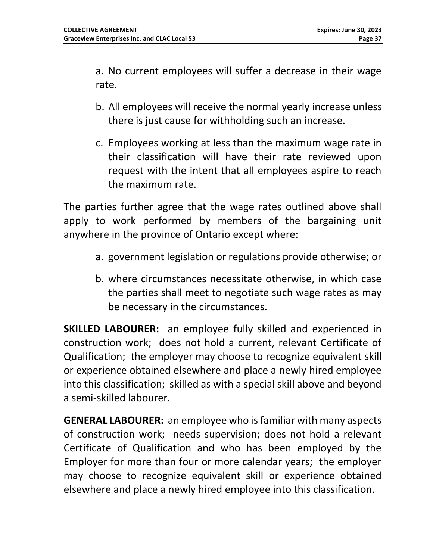a. No current employees will suffer a decrease in their wage rate.

- b. All employees will receive the normal yearly increase unless there is just cause for withholding such an increase.
- c. Employees working at less than the maximum wage rate in their classification will have their rate reviewed upon request with the intent that all employees aspire to reach the maximum rate.

The parties further agree that the wage rates outlined above shall apply to work performed by members of the bargaining unit anywhere in the province of Ontario except where:

- a. government legislation or regulations provide otherwise; or
- b. where circumstances necessitate otherwise, in which case the parties shall meet to negotiate such wage rates as may be necessary in the circumstances.

**SKILLED LABOURER:** an employee fully skilled and experienced in construction work; does not hold a current, relevant Certificate of Qualification; the employer may choose to recognize equivalent skill or experience obtained elsewhere and place a newly hired employee into this classification; skilled as with a special skill above and beyond a semi-skilled labourer.

**GENERAL LABOURER:** an employee who is familiar with many aspects of construction work; needs supervision; does not hold a relevant Certificate of Qualification and who has been employed by the Employer for more than four or more calendar years; the employer may choose to recognize equivalent skill or experience obtained elsewhere and place a newly hired employee into this classification.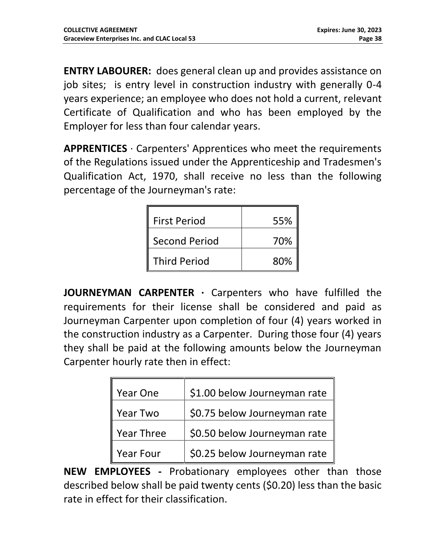**ENTRY LABOURER:** does general clean up and provides assistance on job sites; is entry level in construction industry with generally 0-4 years experience; an employee who does not hold a current, relevant Certificate of Qualification and who has been employed by the Employer for less than four calendar years.

**APPRENTICES** · Carpenters' Apprentices who meet the requirements of the Regulations issued under the Apprenticeship and Tradesmen's Qualification Act, 1970, shall receive no less than the following percentage of the Journeyman's rate:

| <b>First Period</b>  | 55% |
|----------------------|-----|
| <b>Second Period</b> | 70% |
| <b>Third Period</b>  | 80% |

**JOURNEYMAN CARPENTER** · Carpenters who have fulfilled the requirements for their license shall be considered and paid as Journeyman Carpenter upon completion of four (4) years worked in the construction industry as a Carpenter. During those four (4) years they shall be paid at the following amounts below the Journeyman Carpenter hourly rate then in effect:

| Year One          | \$1.00 below Journeyman rate |
|-------------------|------------------------------|
| <b>Year Two</b>   | \$0.75 below Journeyman rate |
| <b>Year Three</b> | \$0.50 below Journeyman rate |
| Year Four         | \$0.25 below Journeyman rate |

**NEW EMPLOYEES -** Probationary employees other than those described below shall be paid twenty cents (\$0.20) less than the basic rate in effect for their classification.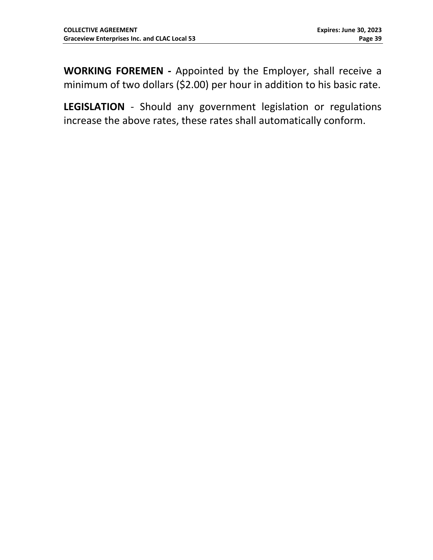**WORKING FOREMEN -** Appointed by the Employer, shall receive a minimum of two dollars (\$2.00) per hour in addition to his basic rate.

**LEGISLATION** - Should any government legislation or regulations increase the above rates, these rates shall automatically conform.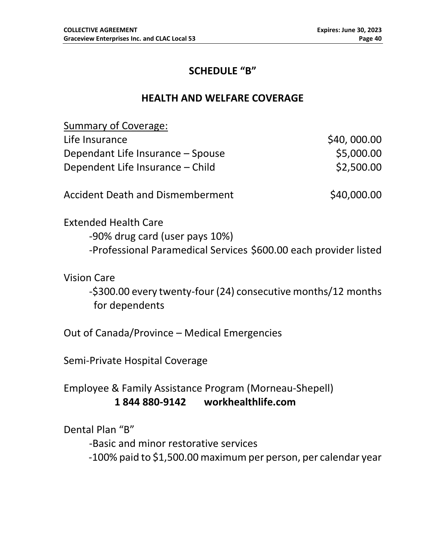## **SCHEDULE "B"**

#### **HEALTH AND WELFARE COVERAGE**

<span id="page-39-1"></span><span id="page-39-0"></span>

| Summary of Coverage:              |             |
|-----------------------------------|-------------|
| Life Insurance                    | \$40,000.00 |
| Dependant Life Insurance – Spouse | \$5,000.00  |
| Dependent Life Insurance – Child  | \$2,500.00  |
|                                   |             |

Accident Death and Dismemberment  $\sim$  \$40,000.00

Extended Health Care -90% drug card (user pays 10%) -Professional Paramedical Services \$600.00 each provider listed

Vision Care

-\$300.00 every twenty-four (24) consecutive months/12 months for dependents

Out of Canada/Province – Medical Emergencies

Semi-Private Hospital Coverage

Employee & Family Assistance Program (Morneau-Shepell) **1 844 880-9142 workhealthlife.com**

Dental Plan "B"

-Basic and minor restorative services

-100% paid to \$1,500.00 maximum per person, per calendar year